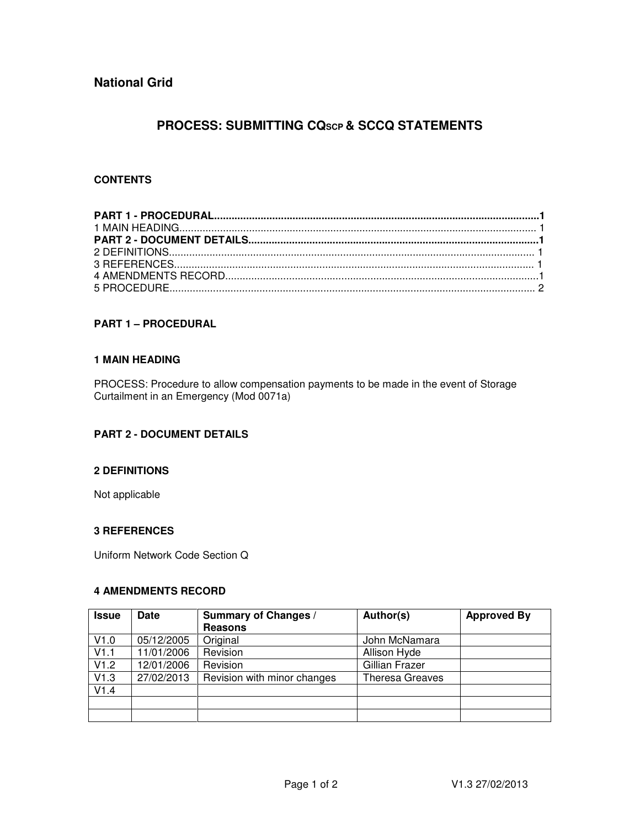# **PROCESS: SUBMITTING CQSCP & SCCQ STATEMENTS**

# **CONTENTS**

# **PART 1 – PROCEDURAL**

### **1 MAIN HEADING**

PROCESS: Procedure to allow compensation payments to be made in the event of Storage Curtailment in an Emergency (Mod 0071a)

## **PART 2 - DOCUMENT DETAILS**

### **2 DEFINITIONS**

Not applicable

# **3 REFERENCES**

Uniform Network Code Section Q

## **4 AMENDMENTS RECORD**

| <b>Issue</b> | <b>Date</b> | <b>Summary of Changes /</b> | Author(s)              | <b>Approved By</b> |
|--------------|-------------|-----------------------------|------------------------|--------------------|
|              |             | <b>Reasons</b>              |                        |                    |
| V1.0         | 05/12/2005  | Original                    | John McNamara          |                    |
| V1.1         | 11/01/2006  | Revision                    | Allison Hyde           |                    |
| V1.2         | 12/01/2006  | Revision                    | Gillian Frazer         |                    |
| V1.3         | 27/02/2013  | Revision with minor changes | <b>Theresa Greaves</b> |                    |
| V1.4         |             |                             |                        |                    |
|              |             |                             |                        |                    |
|              |             |                             |                        |                    |